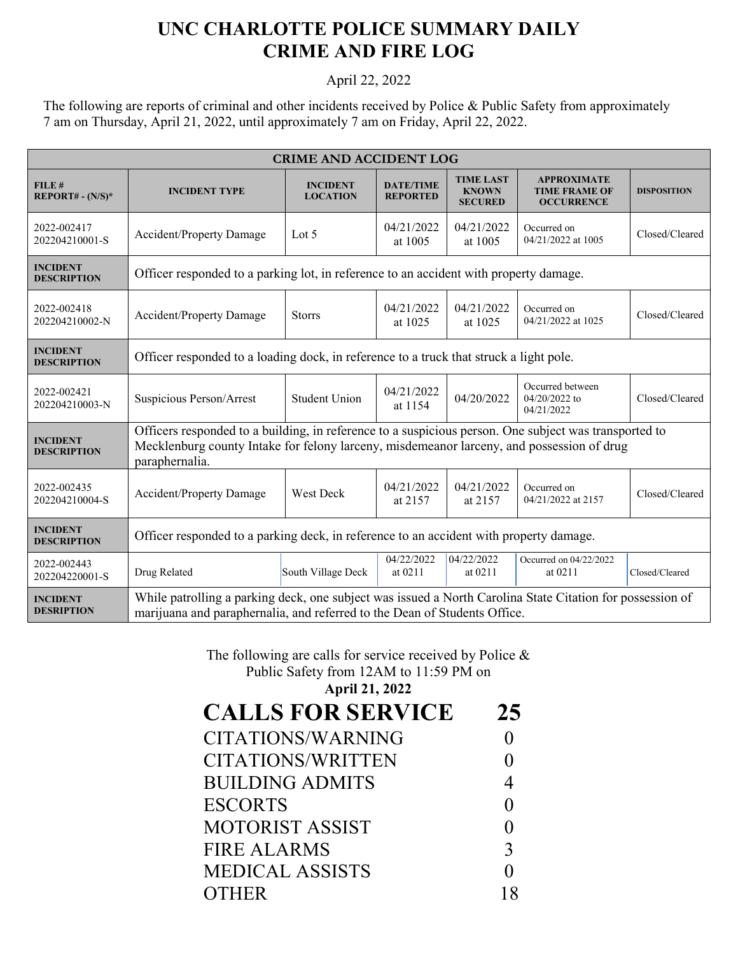## **UNC CHARLOTTE POLICE SUMMARY DAILY CRIME AND FIRE LOG**

April 22, 2022

The following are reports of criminal and other incidents received by Police & Public Safety from approximately 7 am on Thursday, April 21, 2022, until approximately 7 am on Friday, April 22, 2022.

| <b>CRIME AND ACCIDENT LOG</b>         |                                                                                                                                                                                                                      |                                    |                                     |                                                    |                                                                 |                    |  |  |
|---------------------------------------|----------------------------------------------------------------------------------------------------------------------------------------------------------------------------------------------------------------------|------------------------------------|-------------------------------------|----------------------------------------------------|-----------------------------------------------------------------|--------------------|--|--|
| FILE#<br>$REPORT# - (N/S)*$           | <b>INCIDENT TYPE</b>                                                                                                                                                                                                 | <b>INCIDENT</b><br><b>LOCATION</b> | <b>DATE/TIME</b><br><b>REPORTED</b> | <b>TIME LAST</b><br><b>KNOWN</b><br><b>SECURED</b> | <b>APPROXIMATE</b><br><b>TIME FRAME OF</b><br><b>OCCURRENCE</b> | <b>DISPOSITION</b> |  |  |
| 2022-002417<br>202204210001-S         | <b>Accident/Property Damage</b>                                                                                                                                                                                      | Lot 5                              | 04/21/2022<br>at 1005               | 04/21/2022<br>at 1005                              | Occurred on<br>04/21/2022 at 1005                               | Closed/Cleared     |  |  |
| <b>INCIDENT</b><br><b>DESCRIPTION</b> | Officer responded to a parking lot, in reference to an accident with property damage.                                                                                                                                |                                    |                                     |                                                    |                                                                 |                    |  |  |
| 2022-002418<br>202204210002-N         | <b>Accident/Property Damage</b>                                                                                                                                                                                      | <b>Storrs</b>                      | 04/21/2022<br>at 1025               | 04/21/2022<br>at 1025                              | Occurred on<br>04/21/2022 at 1025                               | Closed/Cleared     |  |  |
| <b>INCIDENT</b><br><b>DESCRIPTION</b> | Officer responded to a loading dock, in reference to a truck that struck a light pole.                                                                                                                               |                                    |                                     |                                                    |                                                                 |                    |  |  |
| 2022-002421<br>202204210003-N         | Suspicious Person/Arrest                                                                                                                                                                                             | <b>Student Union</b>               | 04/21/2022<br>at 1154               | 04/20/2022                                         | Occurred between<br>04/20/2022 to<br>04/21/2022                 | Closed/Cleared     |  |  |
| <b>INCIDENT</b><br><b>DESCRIPTION</b> | Officers responded to a building, in reference to a suspicious person. One subject was transported to<br>Mecklenburg county Intake for felony larceny, misdemeanor larceny, and possession of drug<br>paraphernalia. |                                    |                                     |                                                    |                                                                 |                    |  |  |
| 2022-002435<br>202204210004-S         | <b>Accident/Property Damage</b>                                                                                                                                                                                      | West Deck                          | 04/21/2022<br>at 2157               | 04/21/2022<br>at 2157                              | Occurred on<br>04/21/2022 at 2157                               | Closed/Cleared     |  |  |
| <b>INCIDENT</b><br><b>DESCRIPTION</b> | Officer responded to a parking deck, in reference to an accident with property damage.                                                                                                                               |                                    |                                     |                                                    |                                                                 |                    |  |  |
| 2022-002443<br>202204220001-S         | Drug Related                                                                                                                                                                                                         | South Village Deck                 | 04/22/2022<br>at 0211               | 04/22/2022<br>at 0211                              | Occurred on 04/22/2022<br>at 0211                               | Closed/Cleared     |  |  |
| <b>INCIDENT</b><br><b>DESRIPTION</b>  | While patrolling a parking deck, one subject was issued a North Carolina State Citation for possession of<br>marijuana and paraphernalia, and referred to the Dean of Students Office.                               |                                    |                                     |                                                    |                                                                 |                    |  |  |

The following are calls for service received by Police & Public Safety from 12AM to 11:59 PM on

| <b>April 21, 2022</b> |  |  |  |
|-----------------------|--|--|--|
|-----------------------|--|--|--|

| <b>CALLS FOR SERVICE</b> | 25 |
|--------------------------|----|
| CITATIONS/WARNING        |    |
| CITATIONS/WRITTEN        |    |
| <b>BUILDING ADMITS</b>   |    |
| <b>ESCORTS</b>           |    |
| <b>MOTORIST ASSIST</b>   |    |
| <b>FIRE ALARMS</b>       | 3  |
| <b>MEDICAL ASSISTS</b>   |    |
| <b>OTHER</b>             |    |